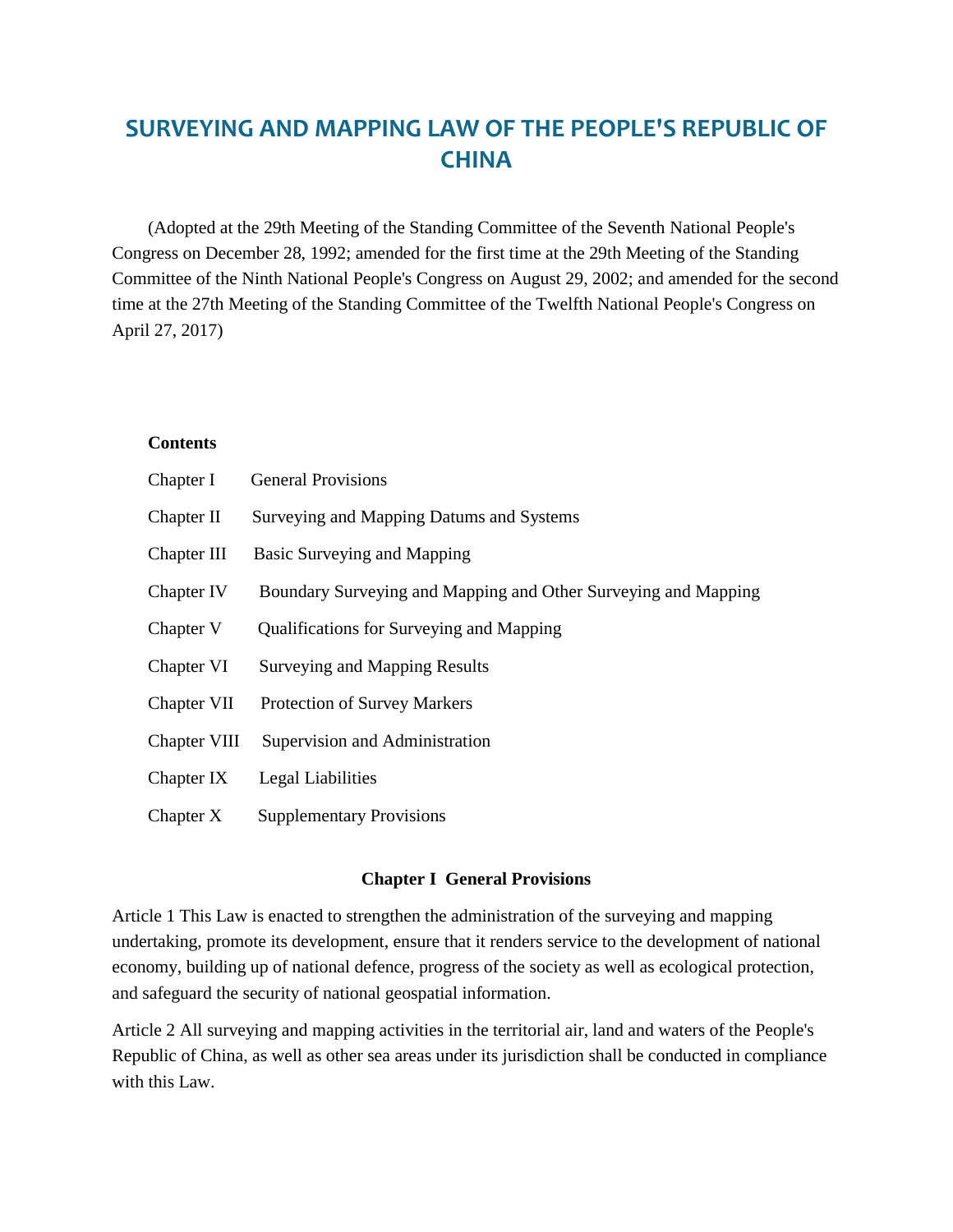# **SURVEYING AND MAPPING LAW OF THE PEOPLE'S REPUBLIC OF CHINA**

 (Adopted at the 29th Meeting of the Standing Committee of the Seventh National People's Congress on December 28, 1992; amended for the first time at the 29th Meeting of the Standing Committee of the Ninth National People's Congress on August 29, 2002; and amended for the second time at the 27th Meeting of the Standing Committee of the Twelfth National People's Congress on April 27, 2017)

#### **Contents**

| Chapter I    | <b>General Provisions</b>                                      |
|--------------|----------------------------------------------------------------|
| Chapter II   | Surveying and Mapping Datums and Systems                       |
| Chapter III  | Basic Surveying and Mapping                                    |
| Chapter IV   | Boundary Surveying and Mapping and Other Surveying and Mapping |
| Chapter V    | Qualifications for Surveying and Mapping                       |
| Chapter VI   | <b>Surveying and Mapping Results</b>                           |
| Chapter VII  | <b>Protection of Survey Markers</b>                            |
| Chapter VIII | Supervision and Administration                                 |
| Chapter IX   | Legal Liabilities                                              |
| Chapter X    | <b>Supplementary Provisions</b>                                |

#### **Chapter I General Provisions**

Article 1 This Law is enacted to strengthen the administration of the surveying and mapping undertaking, promote its development, ensure that it renders service to the development of national economy, building up of national defence, progress of the society as well as ecological protection, and safeguard the security of national geospatial information.

Article 2 All surveying and mapping activities in the territorial air, land and waters of the People's Republic of China, as well as other sea areas under its jurisdiction shall be conducted in compliance with this Law.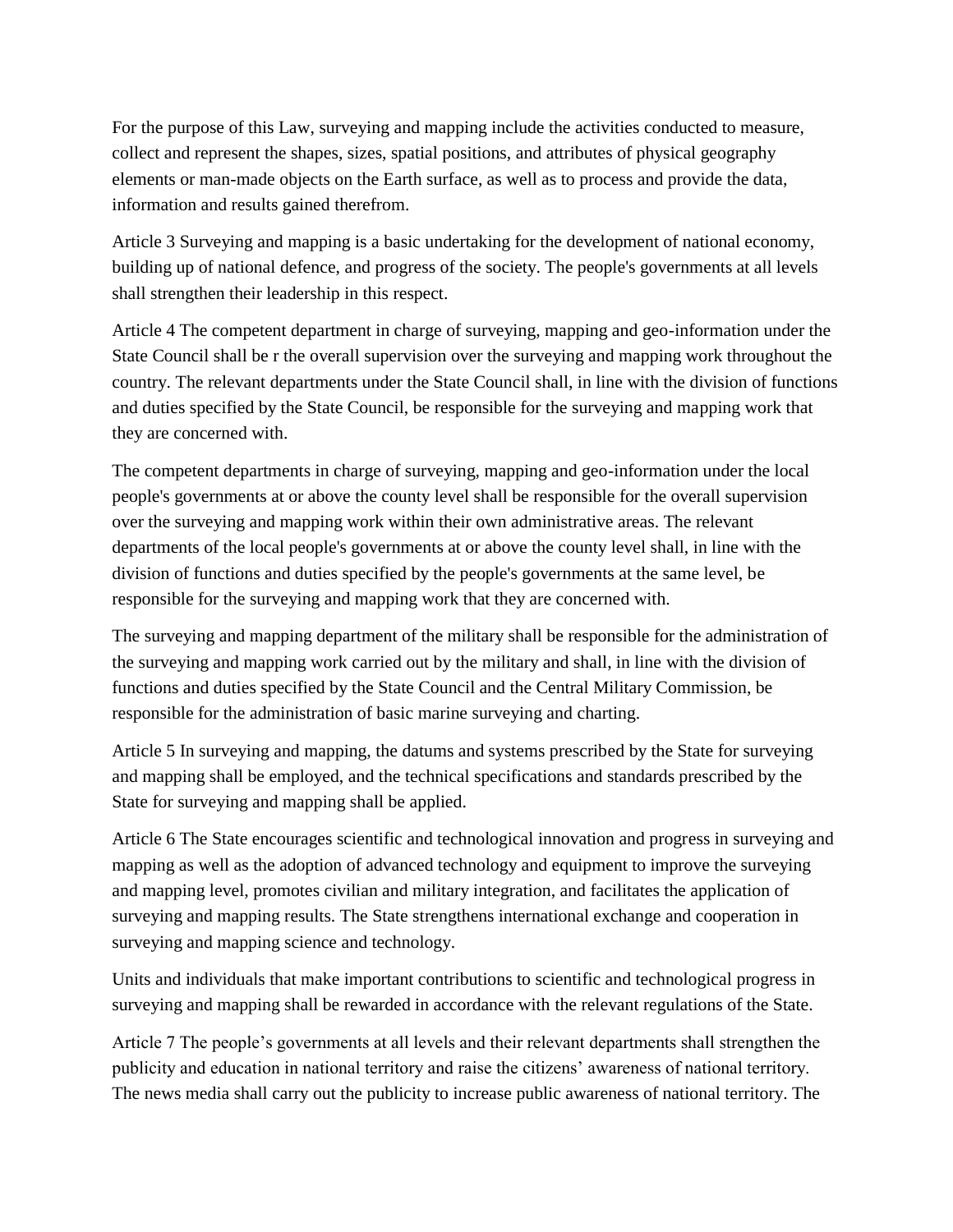For the purpose of this Law, surveying and mapping include the activities conducted to measure, collect and represent the shapes, sizes, spatial positions, and attributes of physical geography elements or man-made objects on the Earth surface, as well as to process and provide the data, information and results gained therefrom.

Article 3 Surveying and mapping is a basic undertaking for the development of national economy, building up of national defence, and progress of the society. The people's governments at all levels shall strengthen their leadership in this respect.

Article 4 The competent department in charge of surveying, mapping and geo-information under the State Council shall be r the overall supervision over the surveying and mapping work throughout the country. The relevant departments under the State Council shall, in line with the division of functions and duties specified by the State Council, be responsible for the surveying and mapping work that they are concerned with.

The competent departments in charge of surveying, mapping and geo-information under the local people's governments at or above the county level shall be responsible for the overall supervision over the surveying and mapping work within their own administrative areas. The relevant departments of the local people's governments at or above the county level shall, in line with the division of functions and duties specified by the people's governments at the same level, be responsible for the surveying and mapping work that they are concerned with.

The surveying and mapping department of the military shall be responsible for the administration of the surveying and mapping work carried out by the military and shall, in line with the division of functions and duties specified by the State Council and the Central Military Commission, be responsible for the administration of basic marine surveying and charting.

Article 5 In surveying and mapping, the datums and systems prescribed by the State for surveying and mapping shall be employed, and the technical specifications and standards prescribed by the State for surveying and mapping shall be applied.

Article 6 The State encourages scientific and technological innovation and progress in surveying and mapping as well as the adoption of advanced technology and equipment to improve the surveying and mapping level, promotes civilian and military integration, and facilitates the application of surveying and mapping results. The State strengthens international exchange and cooperation in surveying and mapping science and technology.

Units and individuals that make important contributions to scientific and technological progress in surveying and mapping shall be rewarded in accordance with the relevant regulations of the State.

Article 7 The people's governments at all levels and their relevant departments shall strengthen the publicity and education in national territory and raise the citizens' awareness of national territory. The news media shall carry out the publicity to increase public awareness of national territory. The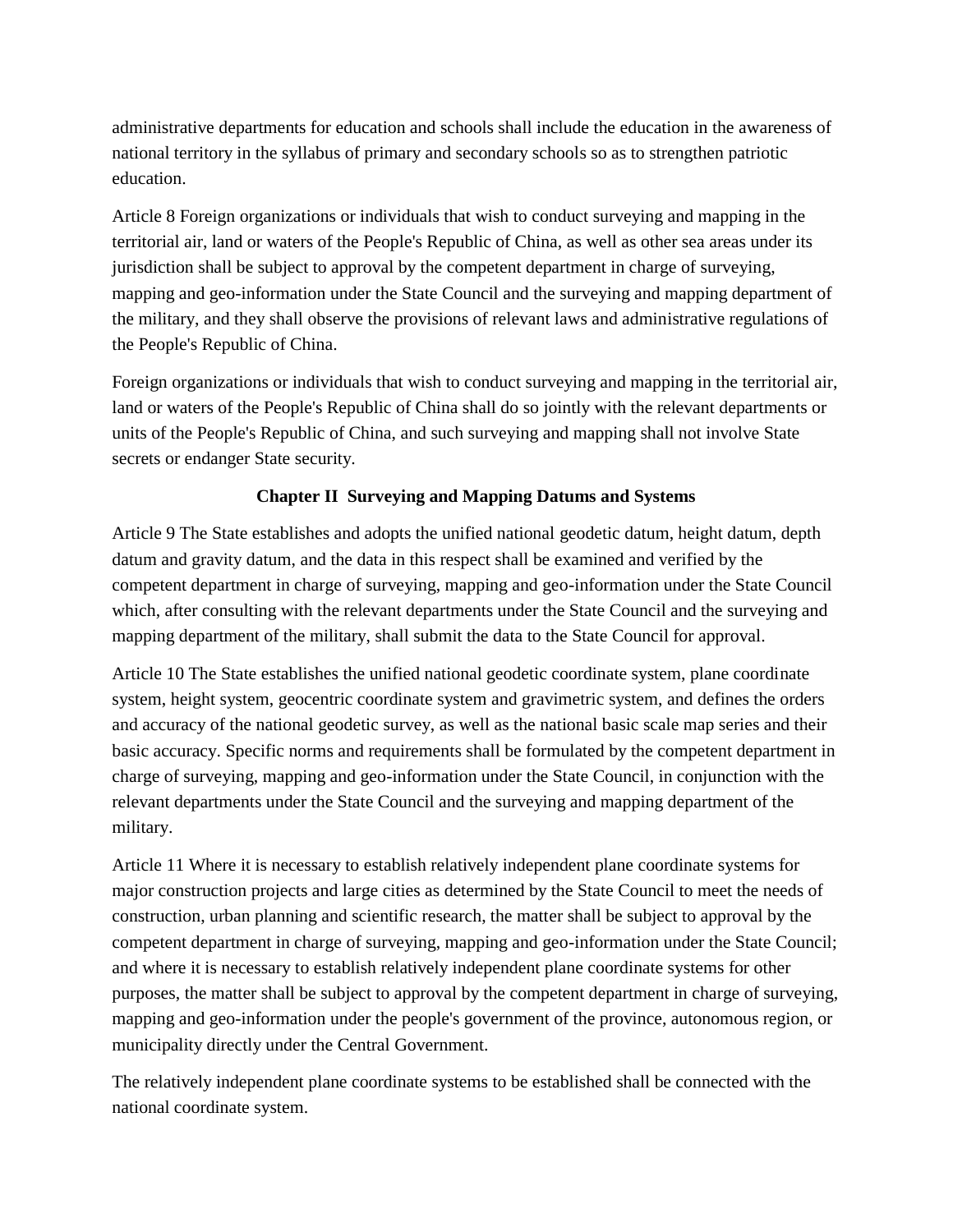administrative departments for education and schools shall include the education in the awareness of national territory in the syllabus of primary and secondary schools so as to strengthen patriotic education.

Article 8 Foreign organizations or individuals that wish to conduct surveying and mapping in the territorial air, land or waters of the People's Republic of China, as well as other sea areas under its jurisdiction shall be subject to approval by the competent department in charge of surveying, mapping and geo-information under the State Council and the surveying and mapping department of the military, and they shall observe the provisions of relevant laws and administrative regulations of the People's Republic of China.

Foreign organizations or individuals that wish to conduct surveying and mapping in the territorial air, land or waters of the People's Republic of China shall do so jointly with the relevant departments or units of the People's Republic of China, and such surveying and mapping shall not involve State secrets or endanger State security.

### **Chapter II Surveying and Mapping Datums and Systems**

Article 9 The State establishes and adopts the unified national geodetic datum, height datum, depth datum and gravity datum, and the data in this respect shall be examined and verified by the competent department in charge of surveying, mapping and geo-information under the State Council which, after consulting with the relevant departments under the State Council and the surveying and mapping department of the military, shall submit the data to the State Council for approval.

Article 10 The State establishes the unified national geodetic coordinate system, plane coordinate system, height system, geocentric coordinate system and gravimetric system, and defines the orders and accuracy of the national geodetic survey, as well as the national basic scale map series and their basic accuracy. Specific norms and requirements shall be formulated by the competent department in charge of surveying, mapping and geo-information under the State Council, in conjunction with the relevant departments under the State Council and the surveying and mapping department of the military.

Article 11 Where it is necessary to establish relatively independent plane coordinate systems for major construction projects and large cities as determined by the State Council to meet the needs of construction, urban planning and scientific research, the matter shall be subject to approval by the competent department in charge of surveying, mapping and geo-information under the State Council; and where it is necessary to establish relatively independent plane coordinate systems for other purposes, the matter shall be subject to approval by the competent department in charge of surveying, mapping and geo-information under the people's government of the province, autonomous region, or municipality directly under the Central Government.

The relatively independent plane coordinate systems to be established shall be connected with the national coordinate system.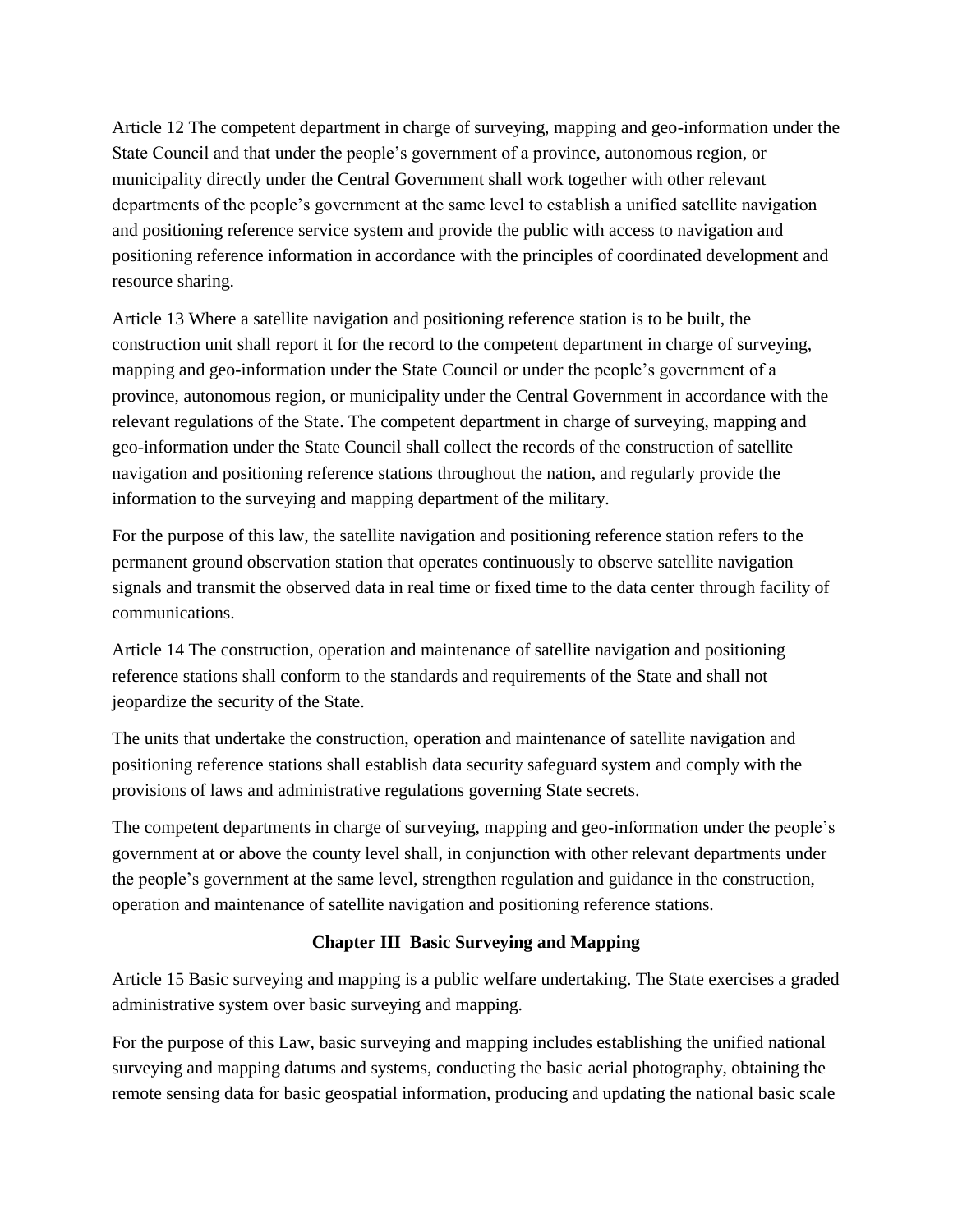Article 12 The competent department in charge of surveying, mapping and geo-information under the State Council and that under the people's government of a province, autonomous region, or municipality directly under the Central Government shall work together with other relevant departments of the people's government at the same level to establish a unified satellite navigation and positioning reference service system and provide the public with access to navigation and positioning reference information in accordance with the principles of coordinated development and resource sharing.

Article 13 Where a satellite navigation and positioning reference station is to be built, the construction unit shall report it for the record to the competent department in charge of surveying, mapping and geo-information under the State Council or under the people's government of a province, autonomous region, or municipality under the Central Government in accordance with the relevant regulations of the State. The competent department in charge of surveying, mapping and geo-information under the State Council shall collect the records of the construction of satellite navigation and positioning reference stations throughout the nation, and regularly provide the information to the surveying and mapping department of the military.

For the purpose of this law, the satellite navigation and positioning reference station refers to the permanent ground observation station that operates continuously to observe satellite navigation signals and transmit the observed data in real time or fixed time to the data center through facility of communications.

Article 14 The construction, operation and maintenance of satellite navigation and positioning reference stations shall conform to the standards and requirements of the State and shall not jeopardize the security of the State.

The units that undertake the construction, operation and maintenance of satellite navigation and positioning reference stations shall establish data security safeguard system and comply with the provisions of laws and administrative regulations governing State secrets.

The competent departments in charge of surveying, mapping and geo-information under the people's government at or above the county level shall, in conjunction with other relevant departments under the people's government at the same level, strengthen regulation and guidance in the construction, operation and maintenance of satellite navigation and positioning reference stations.

# **Chapter III Basic Surveying and Mapping**

Article 15 Basic surveying and mapping is a public welfare undertaking. The State exercises a graded administrative system over basic surveying and mapping.

For the purpose of this Law, basic surveying and mapping includes establishing the unified national surveying and mapping datums and systems, conducting the basic aerial photography, obtaining the remote sensing data for basic geospatial information, producing and updating the national basic scale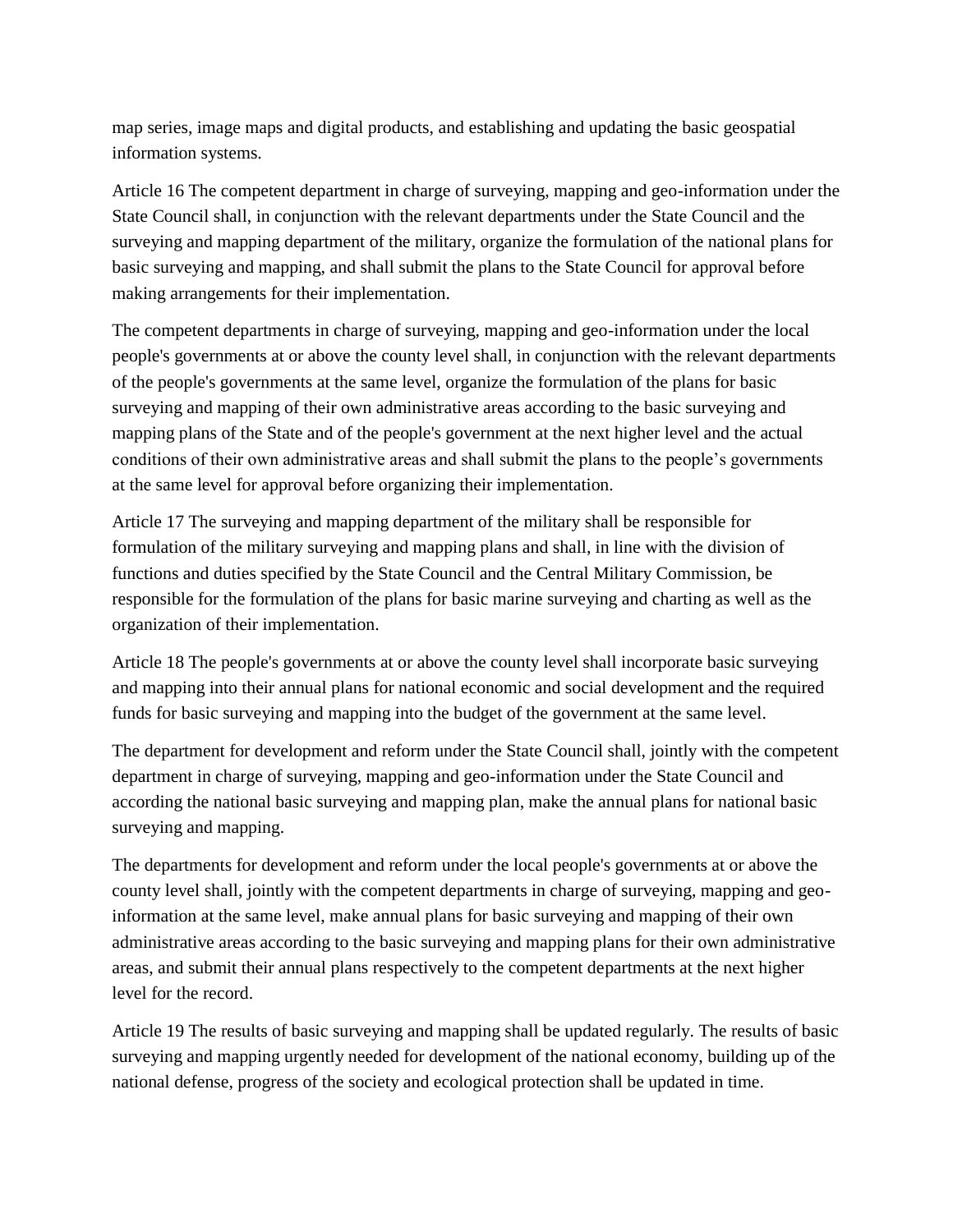map series, image maps and digital products, and establishing and updating the basic geospatial information systems.

Article 16 The competent department in charge of surveying, mapping and geo-information under the State Council shall, in conjunction with the relevant departments under the State Council and the surveying and mapping department of the military, organize the formulation of the national plans for basic surveying and mapping, and shall submit the plans to the State Council for approval before making arrangements for their implementation.

The competent departments in charge of surveying, mapping and geo-information under the local people's governments at or above the county level shall, in conjunction with the relevant departments of the people's governments at the same level, organize the formulation of the plans for basic surveying and mapping of their own administrative areas according to the basic surveying and mapping plans of the State and of the people's government at the next higher level and the actual conditions of their own administrative areas and shall submit the plans to the people's governments at the same level for approval before organizing their implementation.

Article 17 The surveying and mapping department of the military shall be responsible for formulation of the military surveying and mapping plans and shall, in line with the division of functions and duties specified by the State Council and the Central Military Commission, be responsible for the formulation of the plans for basic marine surveying and charting as well as the organization of their implementation.

Article 18 The people's governments at or above the county level shall incorporate basic surveying and mapping into their annual plans for national economic and social development and the required funds for basic surveying and mapping into the budget of the government at the same level.

The department for development and reform under the State Council shall, jointly with the competent department in charge of surveying, mapping and geo-information under the State Council and according the national basic surveying and mapping plan, make the annual plans for national basic surveying and mapping.

The departments for development and reform under the local people's governments at or above the county level shall, jointly with the competent departments in charge of surveying, mapping and geoinformation at the same level, make annual plans for basic surveying and mapping of their own administrative areas according to the basic surveying and mapping plans for their own administrative areas, and submit their annual plans respectively to the competent departments at the next higher level for the record.

Article 19 The results of basic surveying and mapping shall be updated regularly. The results of basic surveying and mapping urgently needed for development of the national economy, building up of the national defense, progress of the society and ecological protection shall be updated in time.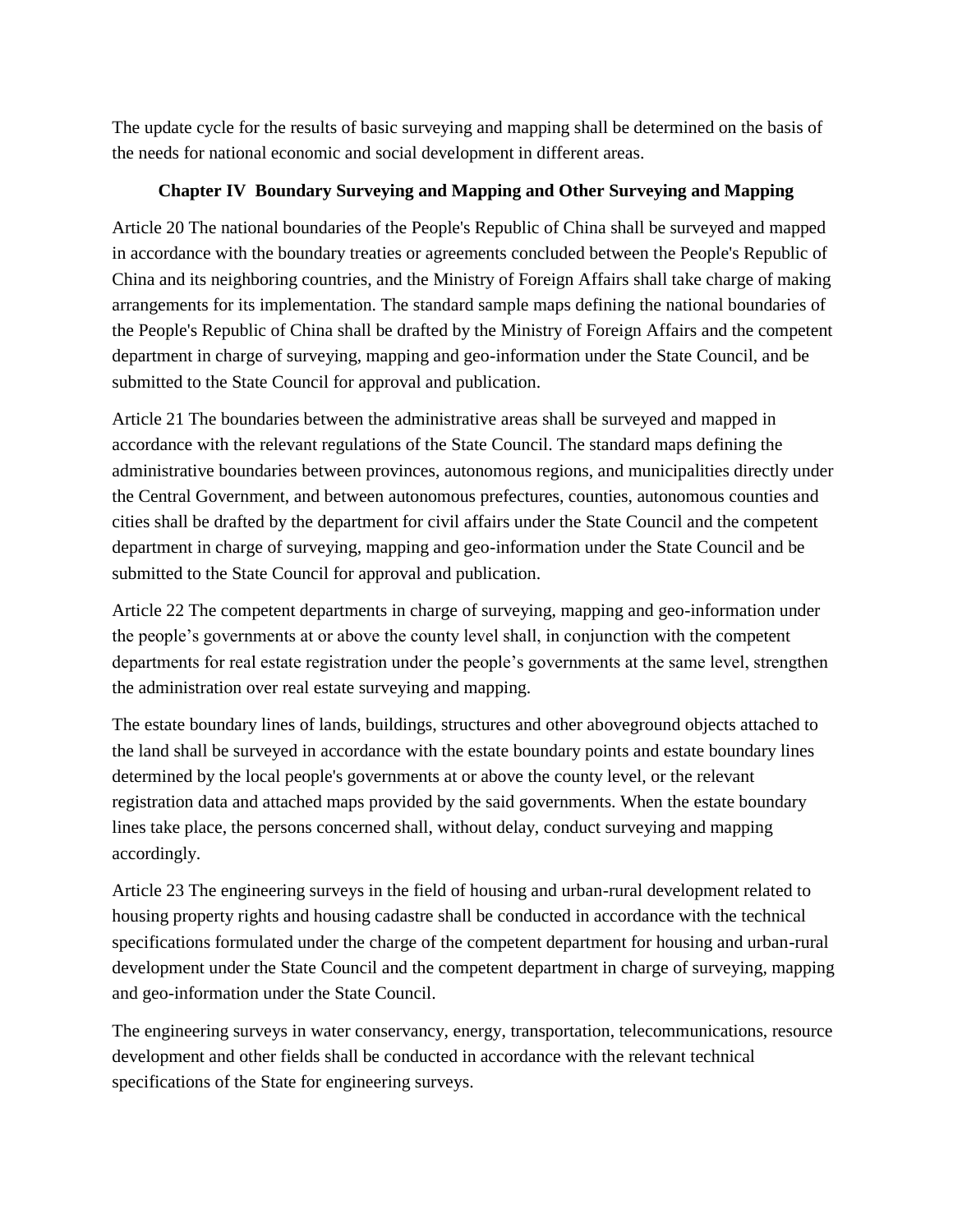The update cycle for the results of basic surveying and mapping shall be determined on the basis of the needs for national economic and social development in different areas.

#### **Chapter IV Boundary Surveying and Mapping and Other Surveying and Mapping**

Article 20 The national boundaries of the People's Republic of China shall be surveyed and mapped in accordance with the boundary treaties or agreements concluded between the People's Republic of China and its neighboring countries, and the Ministry of Foreign Affairs shall take charge of making arrangements for its implementation. The standard sample maps defining the national boundaries of the People's Republic of China shall be drafted by the Ministry of Foreign Affairs and the competent department in charge of surveying, mapping and geo-information under the State Council, and be submitted to the State Council for approval and publication.

Article 21 The boundaries between the administrative areas shall be surveyed and mapped in accordance with the relevant regulations of the State Council. The standard maps defining the administrative boundaries between provinces, autonomous regions, and municipalities directly under the Central Government, and between autonomous prefectures, counties, autonomous counties and cities shall be drafted by the department for civil affairs under the State Council and the competent department in charge of surveying, mapping and geo-information under the State Council and be submitted to the State Council for approval and publication.

Article 22 The competent departments in charge of surveying, mapping and geo-information under the people's governments at or above the county level shall, in conjunction with the competent departments for real estate registration under the people's governments at the same level, strengthen the administration over real estate surveying and mapping.

The estate boundary lines of lands, buildings, structures and other aboveground objects attached to the land shall be surveyed in accordance with the estate boundary points and estate boundary lines determined by the local people's governments at or above the county level, or the relevant registration data and attached maps provided by the said governments. When the estate boundary lines take place, the persons concerned shall, without delay, conduct surveying and mapping accordingly.

Article 23 The engineering surveys in the field of housing and urban-rural development related to housing property rights and housing cadastre shall be conducted in accordance with the technical specifications formulated under the charge of the competent department for housing and urban-rural development under the State Council and the competent department in charge of surveying, mapping and geo-information under the State Council.

The engineering surveys in water conservancy, energy, transportation, telecommunications, resource development and other fields shall be conducted in accordance with the relevant technical specifications of the State for engineering surveys.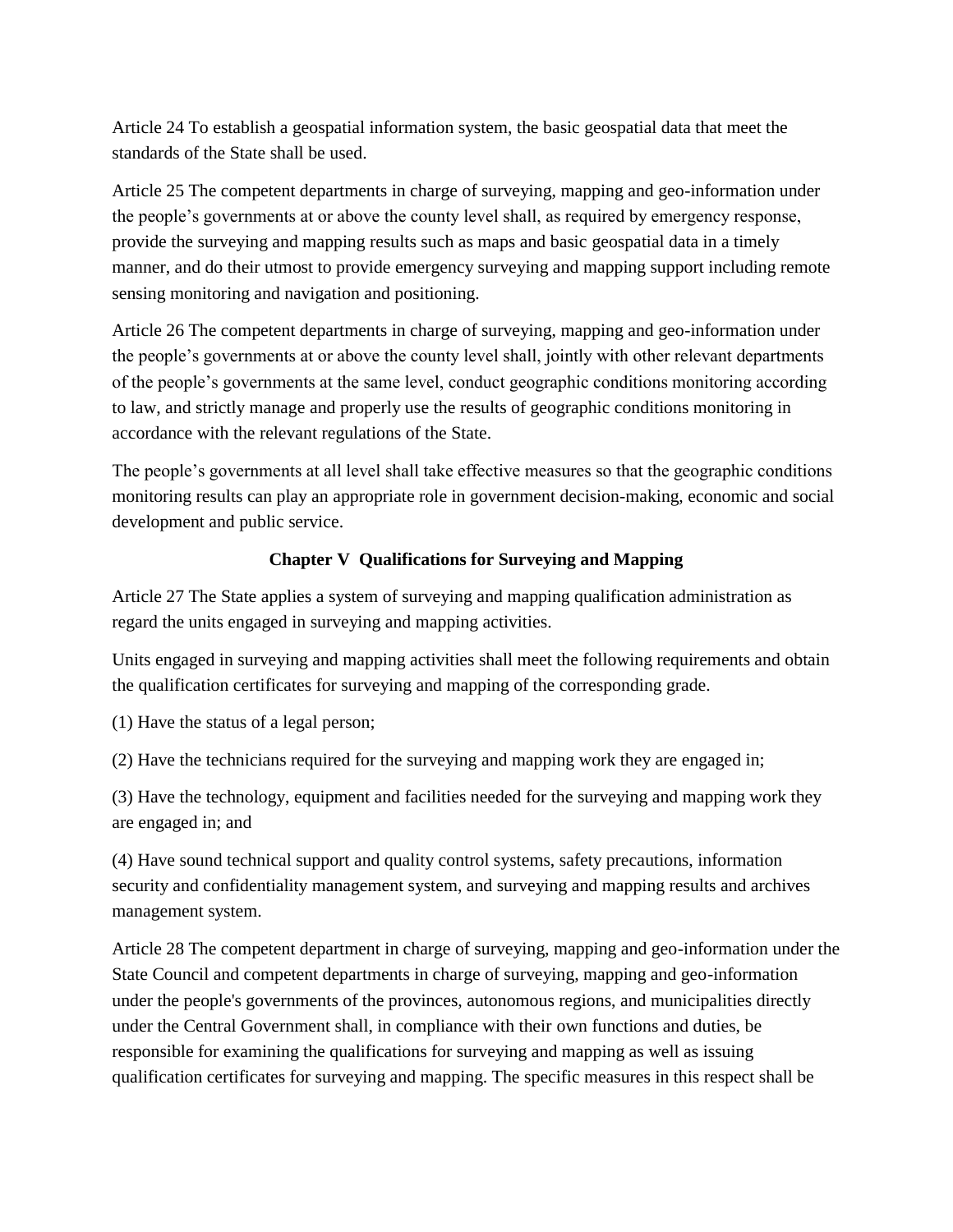Article 24 To establish a geospatial information system, the basic geospatial data that meet the standards of the State shall be used.

Article 25 The competent departments in charge of surveying, mapping and geo-information under the people's governments at or above the county level shall, as required by emergency response, provide the surveying and mapping results such as maps and basic geospatial data in a timely manner, and do their utmost to provide emergency surveying and mapping support including remote sensing monitoring and navigation and positioning.

Article 26 The competent departments in charge of surveying, mapping and geo-information under the people's governments at or above the county level shall, jointly with other relevant departments of the people's governments at the same level, conduct geographic conditions monitoring according to law, and strictly manage and properly use the results of geographic conditions monitoring in accordance with the relevant regulations of the State.

The people's governments at all level shall take effective measures so that the geographic conditions monitoring results can play an appropriate role in government decision-making, economic and social development and public service.

# **Chapter V Qualifications for Surveying and Mapping**

Article 27 The State applies a system of surveying and mapping qualification administration as regard the units engaged in surveying and mapping activities.

Units engaged in surveying and mapping activities shall meet the following requirements and obtain the qualification certificates for surveying and mapping of the corresponding grade.

(1) Have the status of a legal person;

(2) Have the technicians required for the surveying and mapping work they are engaged in;

(3) Have the technology, equipment and facilities needed for the surveying and mapping work they are engaged in; and

(4) Have sound technical support and quality control systems, safety precautions, information security and confidentiality management system, and surveying and mapping results and archives management system.

Article 28 The competent department in charge of surveying, mapping and geo-information under the State Council and competent departments in charge of surveying, mapping and geo-information under the people's governments of the provinces, autonomous regions, and municipalities directly under the Central Government shall, in compliance with their own functions and duties, be responsible for examining the qualifications for surveying and mapping as well as issuing qualification certificates for surveying and mapping. The specific measures in this respect shall be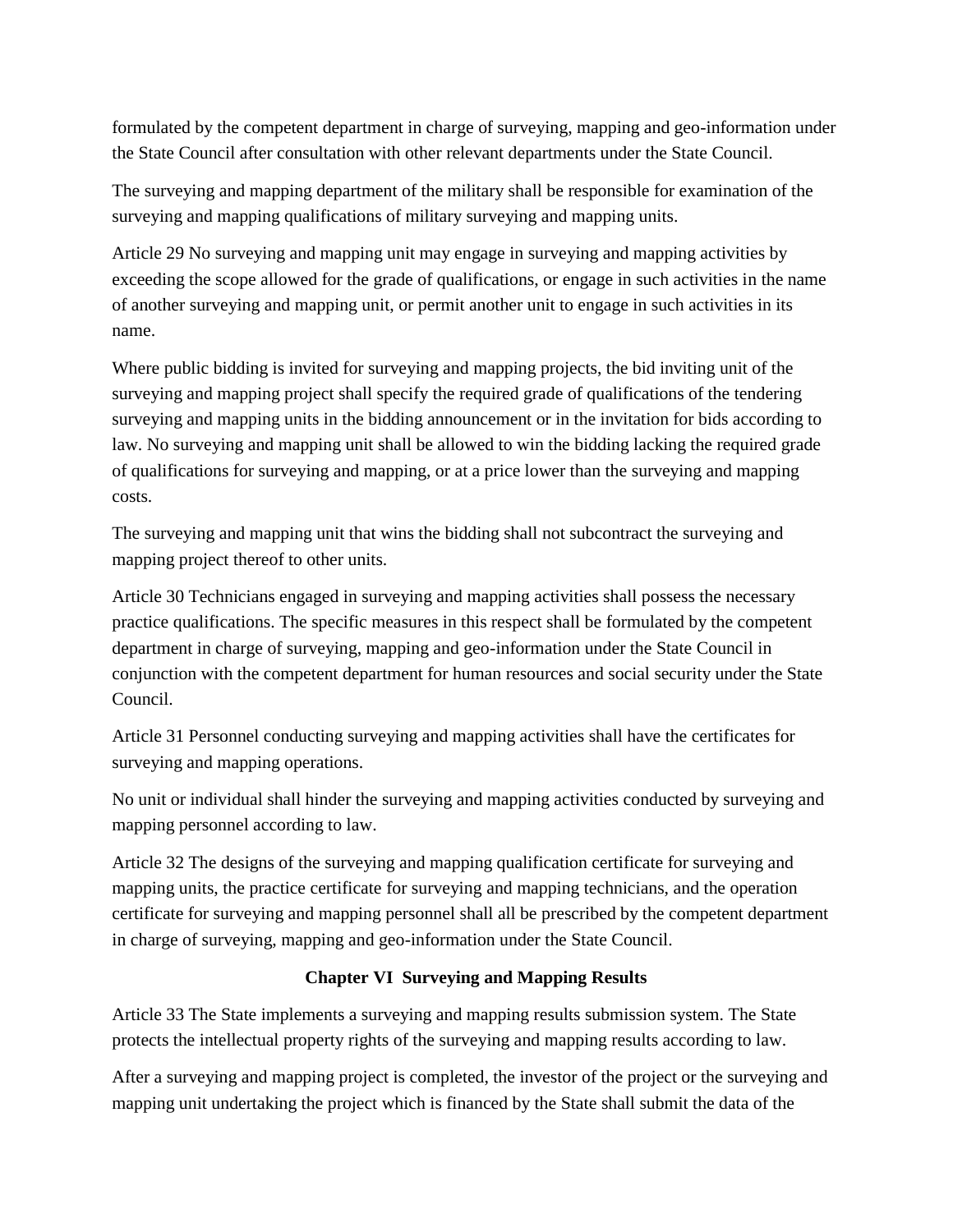formulated by the competent department in charge of surveying, mapping and geo-information under the State Council after consultation with other relevant departments under the State Council.

The surveying and mapping department of the military shall be responsible for examination of the surveying and mapping qualifications of military surveying and mapping units.

Article 29 No surveying and mapping unit may engage in surveying and mapping activities by exceeding the scope allowed for the grade of qualifications, or engage in such activities in the name of another surveying and mapping unit, or permit another unit to engage in such activities in its name.

Where public bidding is invited for surveying and mapping projects, the bid inviting unit of the surveying and mapping project shall specify the required grade of qualifications of the tendering surveying and mapping units in the bidding announcement or in the invitation for bids according to law. No surveying and mapping unit shall be allowed to win the bidding lacking the required grade of qualifications for surveying and mapping, or at a price lower than the surveying and mapping costs.

The surveying and mapping unit that wins the bidding shall not subcontract the surveying and mapping project thereof to other units.

Article 30 Technicians engaged in surveying and mapping activities shall possess the necessary practice qualifications. The specific measures in this respect shall be formulated by the competent department in charge of surveying, mapping and geo-information under the State Council in conjunction with the competent department for human resources and social security under the State Council.

Article 31 Personnel conducting surveying and mapping activities shall have the certificates for surveying and mapping operations.

No unit or individual shall hinder the surveying and mapping activities conducted by surveying and mapping personnel according to law.

Article 32 The designs of the surveying and mapping qualification certificate for surveying and mapping units, the practice certificate for surveying and mapping technicians, and the operation certificate for surveying and mapping personnel shall all be prescribed by the competent department in charge of surveying, mapping and geo-information under the State Council.

### **Chapter VI Surveying and Mapping Results**

Article 33 The State implements a surveying and mapping results submission system. The State protects the intellectual property rights of the surveying and mapping results according to law.

After a surveying and mapping project is completed, the investor of the project or the surveying and mapping unit undertaking the project which is financed by the State shall submit the data of the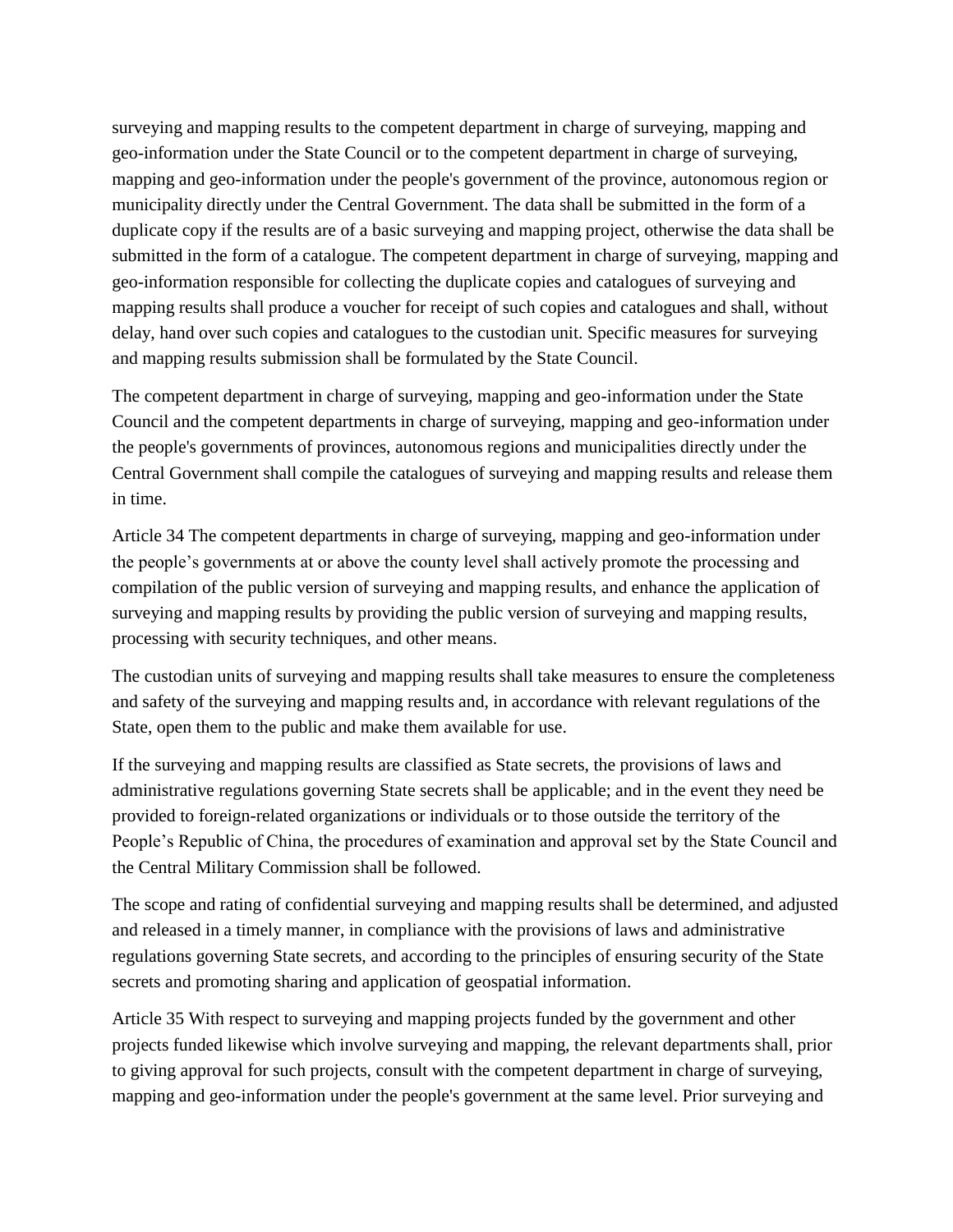surveying and mapping results to the competent department in charge of surveying, mapping and geo-information under the State Council or to the competent department in charge of surveying, mapping and geo-information under the people's government of the province, autonomous region or municipality directly under the Central Government. The data shall be submitted in the form of a duplicate copy if the results are of a basic surveying and mapping project, otherwise the data shall be submitted in the form of a catalogue. The competent department in charge of surveying, mapping and geo-information responsible for collecting the duplicate copies and catalogues of surveying and mapping results shall produce a voucher for receipt of such copies and catalogues and shall, without delay, hand over such copies and catalogues to the custodian unit. Specific measures for surveying and mapping results submission shall be formulated by the State Council.

The competent department in charge of surveying, mapping and geo-information under the State Council and the competent departments in charge of surveying, mapping and geo-information under the people's governments of provinces, autonomous regions and municipalities directly under the Central Government shall compile the catalogues of surveying and mapping results and release them in time.

Article 34 The competent departments in charge of surveying, mapping and geo-information under the people's governments at or above the county level shall actively promote the processing and compilation of the public version of surveying and mapping results, and enhance the application of surveying and mapping results by providing the public version of surveying and mapping results, processing with security techniques, and other means.

The custodian units of surveying and mapping results shall take measures to ensure the completeness and safety of the surveying and mapping results and, in accordance with relevant regulations of the State, open them to the public and make them available for use.

If the surveying and mapping results are classified as State secrets, the provisions of laws and administrative regulations governing State secrets shall be applicable; and in the event they need be provided to foreign-related organizations or individuals or to those outside the territory of the People's Republic of China, the procedures of examination and approval set by the State Council and the Central Military Commission shall be followed.

The scope and rating of confidential surveying and mapping results shall be determined, and adjusted and released in a timely manner, in compliance with the provisions of laws and administrative regulations governing State secrets, and according to the principles of ensuring security of the State secrets and promoting sharing and application of geospatial information.

Article 35 With respect to surveying and mapping projects funded by the government and other projects funded likewise which involve surveying and mapping, the relevant departments shall, prior to giving approval for such projects, consult with the competent department in charge of surveying, mapping and geo-information under the people's government at the same level. Prior surveying and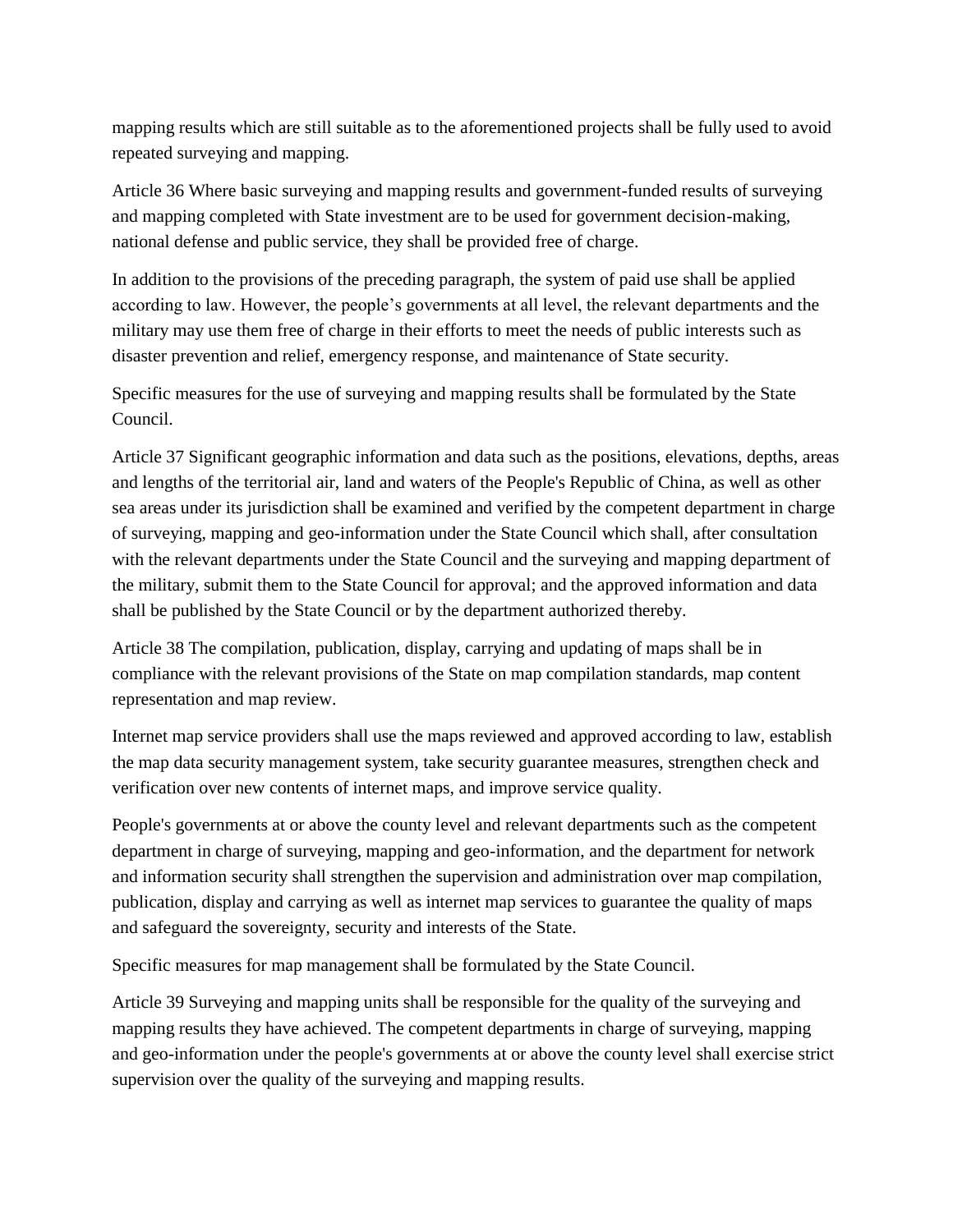mapping results which are still suitable as to the aforementioned projects shall be fully used to avoid repeated surveying and mapping.

Article 36 Where basic surveying and mapping results and government-funded results of surveying and mapping completed with State investment are to be used for government decision-making, national defense and public service, they shall be provided free of charge.

In addition to the provisions of the preceding paragraph, the system of paid use shall be applied according to law. However, the people's governments at all level, the relevant departments and the military may use them free of charge in their efforts to meet the needs of public interests such as disaster prevention and relief, emergency response, and maintenance of State security.

Specific measures for the use of surveying and mapping results shall be formulated by the State Council.

Article 37 Significant geographic information and data such as the positions, elevations, depths, areas and lengths of the territorial air, land and waters of the People's Republic of China, as well as other sea areas under its jurisdiction shall be examined and verified by the competent department in charge of surveying, mapping and geo-information under the State Council which shall, after consultation with the relevant departments under the State Council and the surveying and mapping department of the military, submit them to the State Council for approval; and the approved information and data shall be published by the State Council or by the department authorized thereby.

Article 38 The compilation, publication, display, carrying and updating of maps shall be in compliance with the relevant provisions of the State on map compilation standards, map content representation and map review.

Internet map service providers shall use the maps reviewed and approved according to law, establish the map data security management system, take security guarantee measures, strengthen check and verification over new contents of internet maps, and improve service quality.

People's governments at or above the county level and relevant departments such as the competent department in charge of surveying, mapping and geo-information, and the department for network and information security shall strengthen the supervision and administration over map compilation, publication, display and carrying as well as internet map services to guarantee the quality of maps and safeguard the sovereignty, security and interests of the State.

Specific measures for map management shall be formulated by the State Council.

Article 39 Surveying and mapping units shall be responsible for the quality of the surveying and mapping results they have achieved. The competent departments in charge of surveying, mapping and geo-information under the people's governments at or above the county level shall exercise strict supervision over the quality of the surveying and mapping results.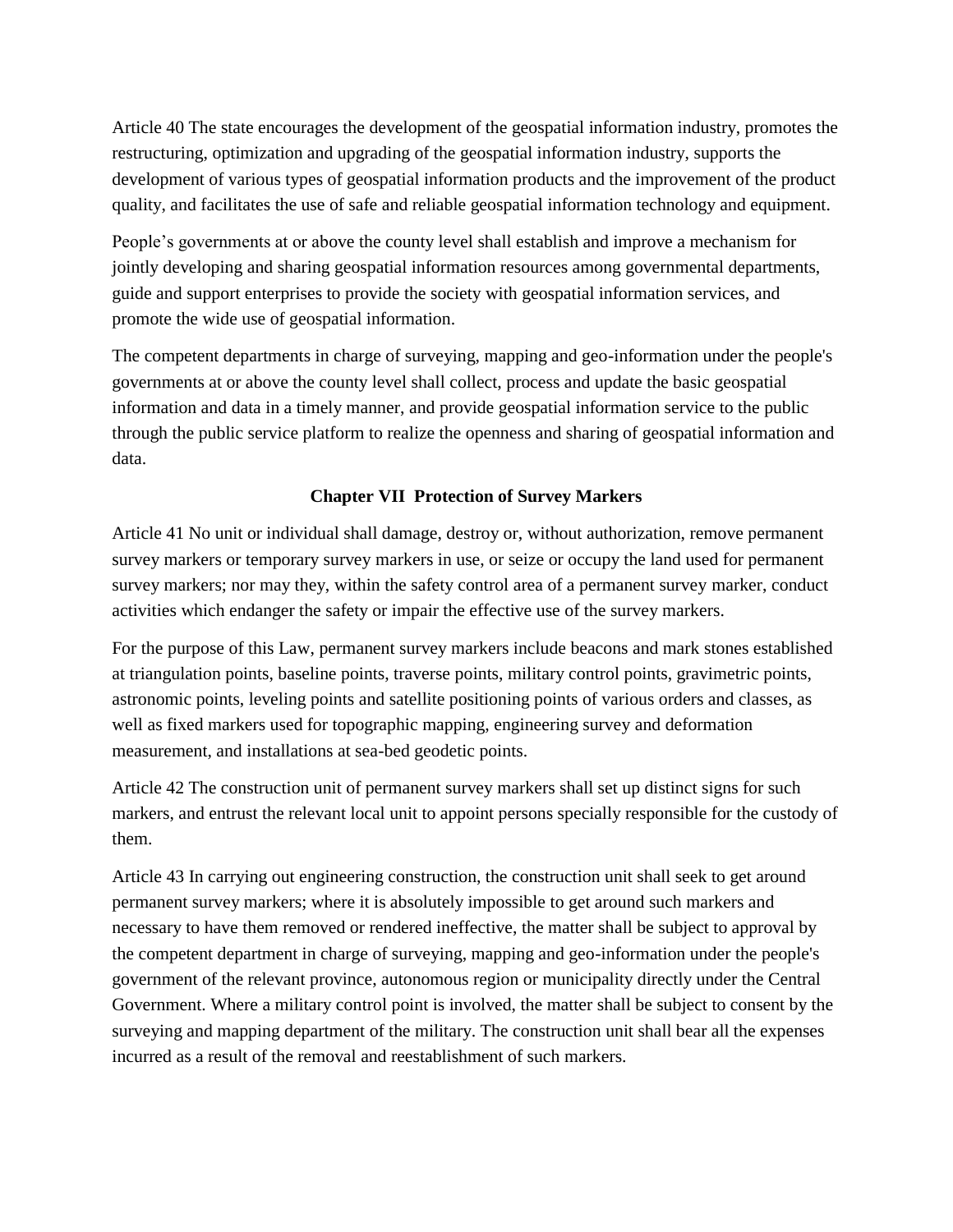Article 40 The state encourages the development of the geospatial information industry, promotes the restructuring, optimization and upgrading of the geospatial information industry, supports the development of various types of geospatial information products and the improvement of the product quality, and facilitates the use of safe and reliable geospatial information technology and equipment.

People's governments at or above the county level shall establish and improve a mechanism for jointly developing and sharing geospatial information resources among governmental departments, guide and support enterprises to provide the society with geospatial information services, and promote the wide use of geospatial information.

The competent departments in charge of surveying, mapping and geo-information under the people's governments at or above the county level shall collect, process and update the basic geospatial information and data in a timely manner, and provide geospatial information service to the public through the public service platform to realize the openness and sharing of geospatial information and data.

# **Chapter VII Protection of Survey Markers**

Article 41 No unit or individual shall damage, destroy or, without authorization, remove permanent survey markers or temporary survey markers in use, or seize or occupy the land used for permanent survey markers; nor may they, within the safety control area of a permanent survey marker, conduct activities which endanger the safety or impair the effective use of the survey markers.

For the purpose of this Law, permanent survey markers include beacons and mark stones established at triangulation points, baseline points, traverse points, military control points, gravimetric points, astronomic points, leveling points and satellite positioning points of various orders and classes, as well as fixed markers used for topographic mapping, engineering survey and deformation measurement, and installations at sea-bed geodetic points.

Article 42 The construction unit of permanent survey markers shall set up distinct signs for such markers, and entrust the relevant local unit to appoint persons specially responsible for the custody of them.

Article 43 In carrying out engineering construction, the construction unit shall seek to get around permanent survey markers; where it is absolutely impossible to get around such markers and necessary to have them removed or rendered ineffective, the matter shall be subject to approval by the competent department in charge of surveying, mapping and geo-information under the people's government of the relevant province, autonomous region or municipality directly under the Central Government. Where a military control point is involved, the matter shall be subject to consent by the surveying and mapping department of the military. The construction unit shall bear all the expenses incurred as a result of the removal and reestablishment of such markers.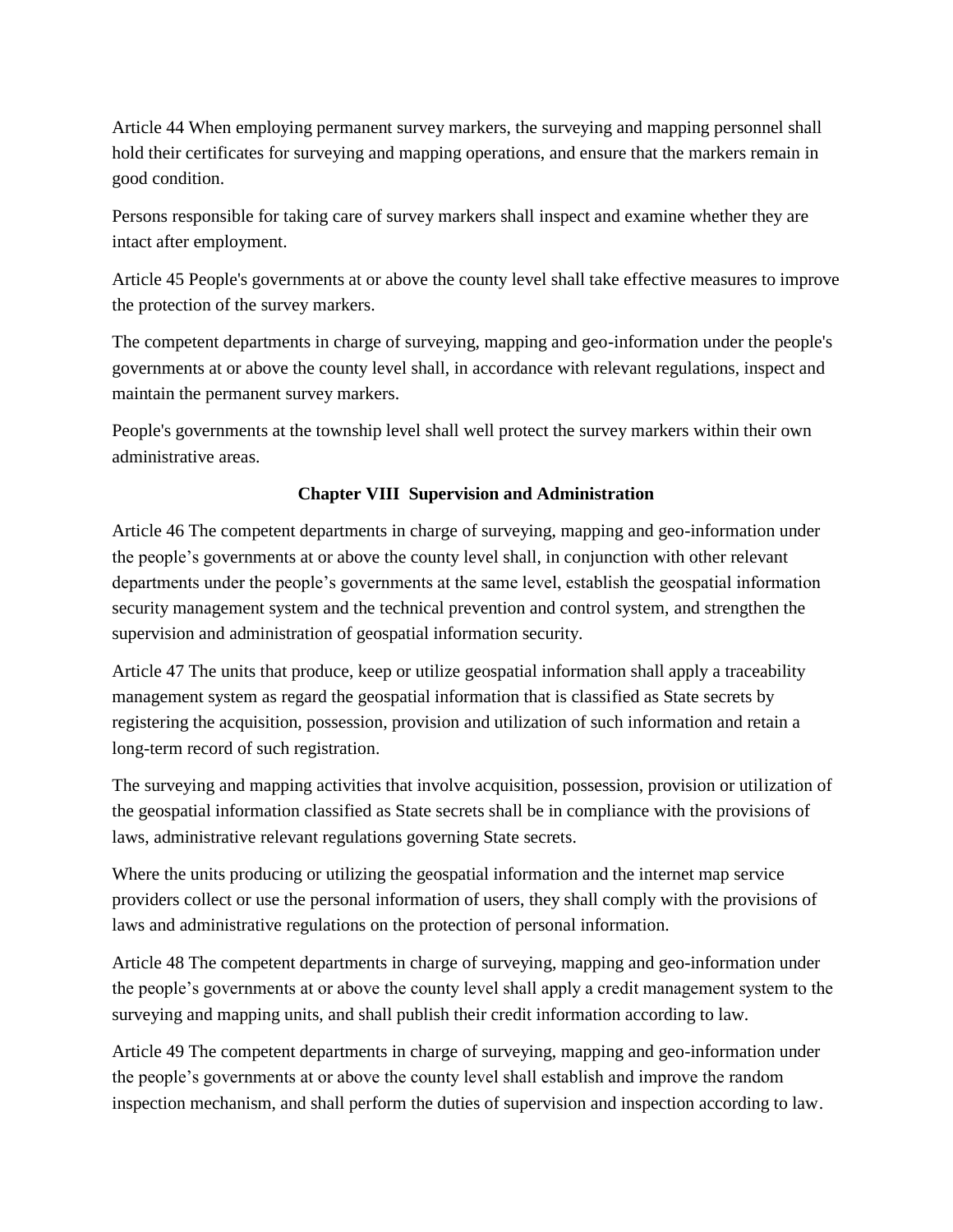Article 44 When employing permanent survey markers, the surveying and mapping personnel shall hold their certificates for surveying and mapping operations, and ensure that the markers remain in good condition.

Persons responsible for taking care of survey markers shall inspect and examine whether they are intact after employment.

Article 45 People's governments at or above the county level shall take effective measures to improve the protection of the survey markers.

The competent departments in charge of surveying, mapping and geo-information under the people's governments at or above the county level shall, in accordance with relevant regulations, inspect and maintain the permanent survey markers.

People's governments at the township level shall well protect the survey markers within their own administrative areas.

## **Chapter VIII Supervision and Administration**

Article 46 The competent departments in charge of surveying, mapping and geo-information under the people's governments at or above the county level shall, in conjunction with other relevant departments under the people's governments at the same level, establish the geospatial information security management system and the technical prevention and control system, and strengthen the supervision and administration of geospatial information security.

Article 47 The units that produce, keep or utilize geospatial information shall apply a traceability management system as regard the geospatial information that is classified as State secrets by registering the acquisition, possession, provision and utilization of such information and retain a long-term record of such registration.

The surveying and mapping activities that involve acquisition, possession, provision or utilization of the geospatial information classified as State secrets shall be in compliance with the provisions of laws, administrative relevant regulations governing State secrets.

Where the units producing or utilizing the geospatial information and the internet map service providers collect or use the personal information of users, they shall comply with the provisions of laws and administrative regulations on the protection of personal information.

Article 48 The competent departments in charge of surveying, mapping and geo-information under the people's governments at or above the county level shall apply a credit management system to the surveying and mapping units, and shall publish their credit information according to law.

Article 49 The competent departments in charge of surveying, mapping and geo-information under the people's governments at or above the county level shall establish and improve the random inspection mechanism, and shall perform the duties of supervision and inspection according to law.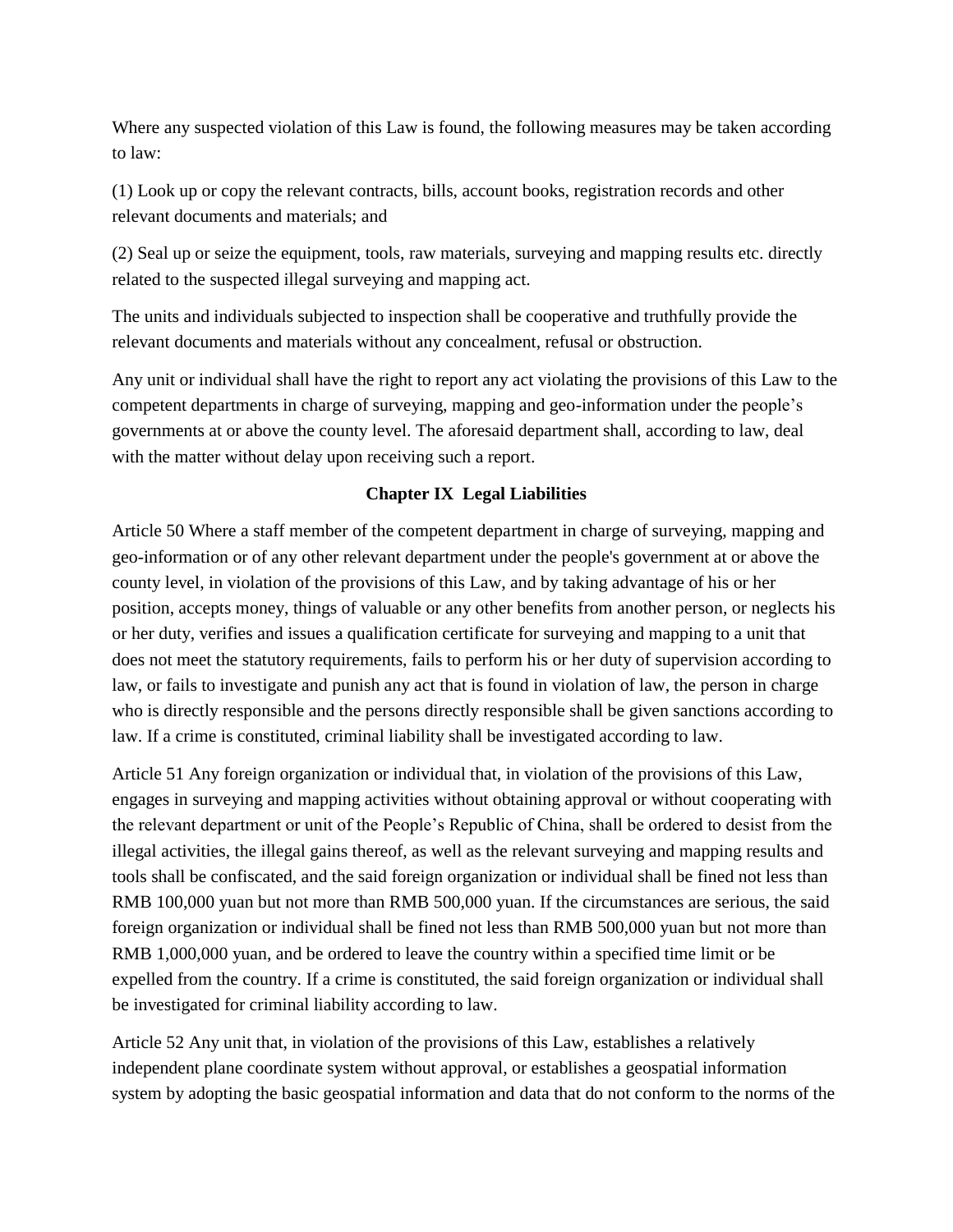Where any suspected violation of this Law is found, the following measures may be taken according to law:

(1) Look up or copy the relevant contracts, bills, account books, registration records and other relevant documents and materials; and

(2) Seal up or seize the equipment, tools, raw materials, surveying and mapping results etc. directly related to the suspected illegal surveying and mapping act.

The units and individuals subjected to inspection shall be cooperative and truthfully provide the relevant documents and materials without any concealment, refusal or obstruction.

Any unit or individual shall have the right to report any act violating the provisions of this Law to the competent departments in charge of surveying, mapping and geo-information under the people's governments at or above the county level. The aforesaid department shall, according to law, deal with the matter without delay upon receiving such a report.

## **Chapter IX Legal Liabilities**

Article 50 Where a staff member of the competent department in charge of surveying, mapping and geo-information or of any other relevant department under the people's government at or above the county level, in violation of the provisions of this Law, and by taking advantage of his or her position, accepts money, things of valuable or any other benefits from another person, or neglects his or her duty, verifies and issues a qualification certificate for surveying and mapping to a unit that does not meet the statutory requirements, fails to perform his or her duty of supervision according to law, or fails to investigate and punish any act that is found in violation of law, the person in charge who is directly responsible and the persons directly responsible shall be given sanctions according to law. If a crime is constituted, criminal liability shall be investigated according to law.

Article 51 Any foreign organization or individual that, in violation of the provisions of this Law, engages in surveying and mapping activities without obtaining approval or without cooperating with the relevant department or unit of the People's Republic of China, shall be ordered to desist from the illegal activities, the illegal gains thereof, as well as the relevant surveying and mapping results and tools shall be confiscated, and the said foreign organization or individual shall be fined not less than RMB 100,000 yuan but not more than RMB 500,000 yuan. If the circumstances are serious, the said foreign organization or individual shall be fined not less than RMB 500,000 yuan but not more than RMB 1,000,000 yuan, and be ordered to leave the country within a specified time limit or be expelled from the country. If a crime is constituted, the said foreign organization or individual shall be investigated for criminal liability according to law.

Article 52 Any unit that, in violation of the provisions of this Law, establishes a relatively independent plane coordinate system without approval, or establishes a geospatial information system by adopting the basic geospatial information and data that do not conform to the norms of the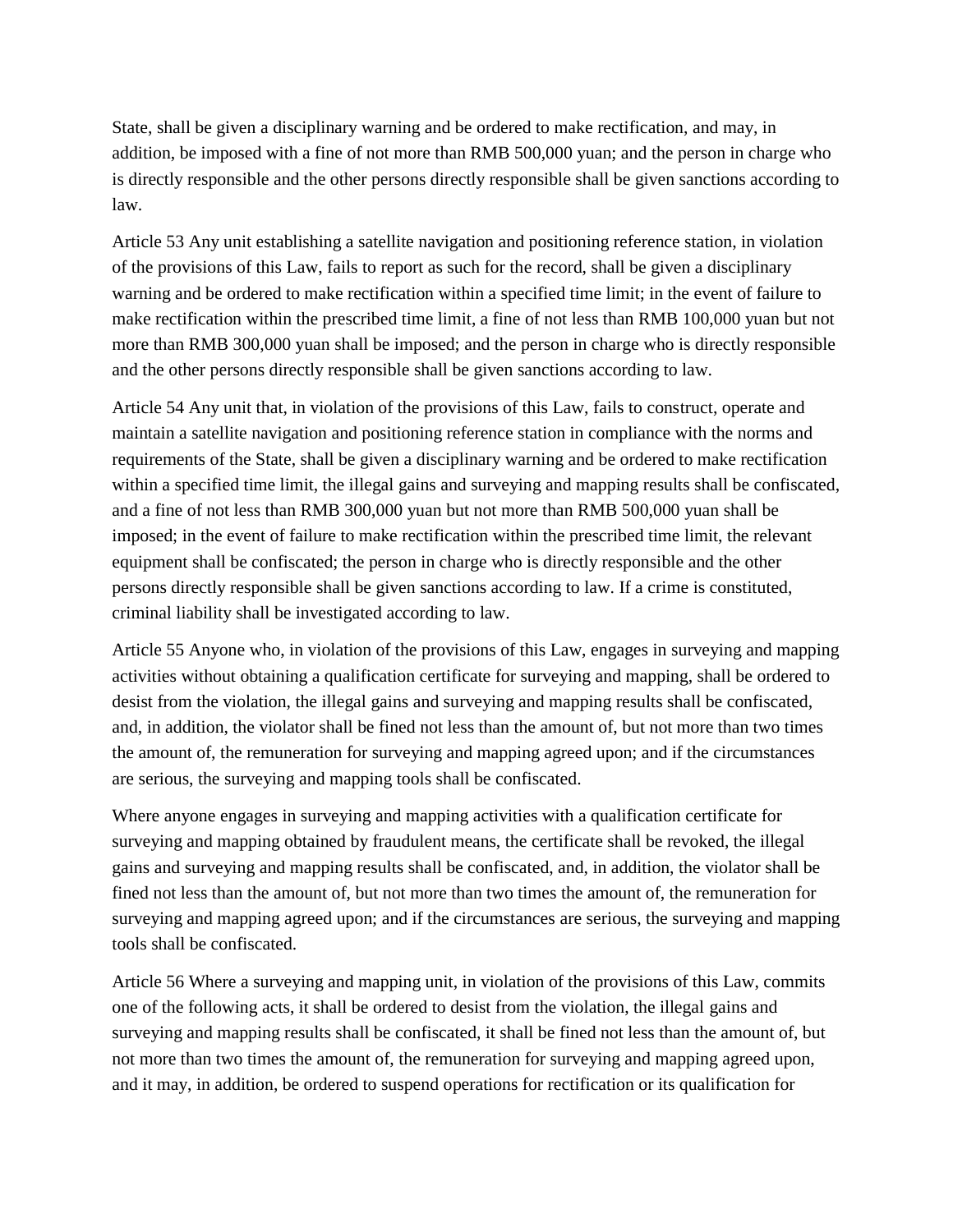State, shall be given a disciplinary warning and be ordered to make rectification, and may, in addition, be imposed with a fine of not more than RMB 500,000 yuan; and the person in charge who is directly responsible and the other persons directly responsible shall be given sanctions according to law.

Article 53 Any unit establishing a satellite navigation and positioning reference station, in violation of the provisions of this Law, fails to report as such for the record, shall be given a disciplinary warning and be ordered to make rectification within a specified time limit; in the event of failure to make rectification within the prescribed time limit, a fine of not less than RMB 100,000 yuan but not more than RMB 300,000 yuan shall be imposed; and the person in charge who is directly responsible and the other persons directly responsible shall be given sanctions according to law.

Article 54 Any unit that, in violation of the provisions of this Law, fails to construct, operate and maintain a satellite navigation and positioning reference station in compliance with the norms and requirements of the State, shall be given a disciplinary warning and be ordered to make rectification within a specified time limit, the illegal gains and surveying and mapping results shall be confiscated, and a fine of not less than RMB 300,000 yuan but not more than RMB 500,000 yuan shall be imposed; in the event of failure to make rectification within the prescribed time limit, the relevant equipment shall be confiscated; the person in charge who is directly responsible and the other persons directly responsible shall be given sanctions according to law. If a crime is constituted, criminal liability shall be investigated according to law.

Article 55 Anyone who, in violation of the provisions of this Law, engages in surveying and mapping activities without obtaining a qualification certificate for surveying and mapping, shall be ordered to desist from the violation, the illegal gains and surveying and mapping results shall be confiscated, and, in addition, the violator shall be fined not less than the amount of, but not more than two times the amount of, the remuneration for surveying and mapping agreed upon; and if the circumstances are serious, the surveying and mapping tools shall be confiscated.

Where anyone engages in surveying and mapping activities with a qualification certificate for surveying and mapping obtained by fraudulent means, the certificate shall be revoked, the illegal gains and surveying and mapping results shall be confiscated, and, in addition, the violator shall be fined not less than the amount of, but not more than two times the amount of, the remuneration for surveying and mapping agreed upon; and if the circumstances are serious, the surveying and mapping tools shall be confiscated.

Article 56 Where a surveying and mapping unit, in violation of the provisions of this Law, commits one of the following acts, it shall be ordered to desist from the violation, the illegal gains and surveying and mapping results shall be confiscated, it shall be fined not less than the amount of, but not more than two times the amount of, the remuneration for surveying and mapping agreed upon, and it may, in addition, be ordered to suspend operations for rectification or its qualification for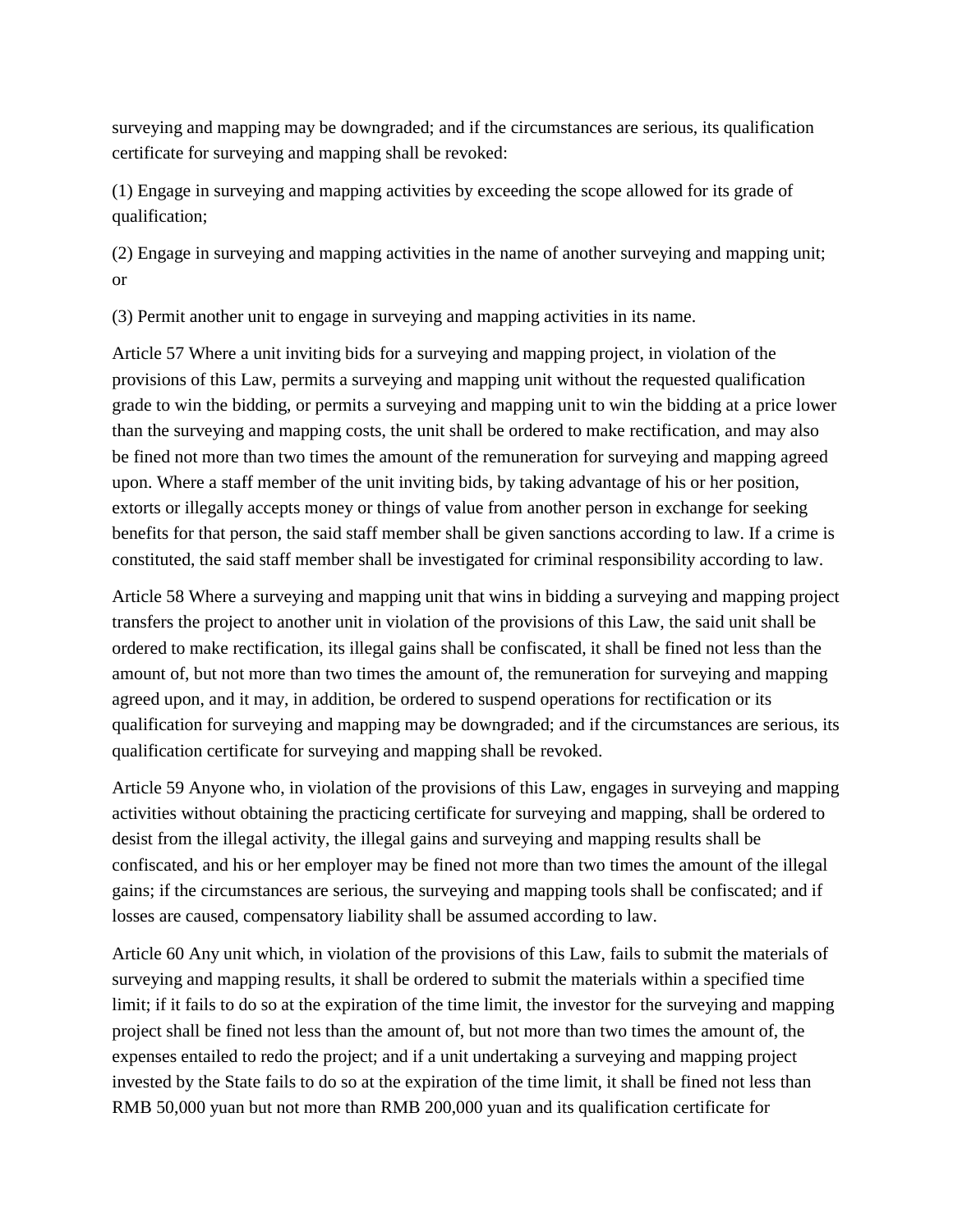surveying and mapping may be downgraded; and if the circumstances are serious, its qualification certificate for surveying and mapping shall be revoked:

(1) Engage in surveying and mapping activities by exceeding the scope allowed for its grade of qualification;

(2) Engage in surveying and mapping activities in the name of another surveying and mapping unit; or

(3) Permit another unit to engage in surveying and mapping activities in its name.

Article 57 Where a unit inviting bids for a surveying and mapping project, in violation of the provisions of this Law, permits a surveying and mapping unit without the requested qualification grade to win the bidding, or permits a surveying and mapping unit to win the bidding at a price lower than the surveying and mapping costs, the unit shall be ordered to make rectification, and may also be fined not more than two times the amount of the remuneration for surveying and mapping agreed upon. Where a staff member of the unit inviting bids, by taking advantage of his or her position, extorts or illegally accepts money or things of value from another person in exchange for seeking benefits for that person, the said staff member shall be given sanctions according to law. If a crime is constituted, the said staff member shall be investigated for criminal responsibility according to law.

Article 58 Where a surveying and mapping unit that wins in bidding a surveying and mapping project transfers the project to another unit in violation of the provisions of this Law, the said unit shall be ordered to make rectification, its illegal gains shall be confiscated, it shall be fined not less than the amount of, but not more than two times the amount of, the remuneration for surveying and mapping agreed upon, and it may, in addition, be ordered to suspend operations for rectification or its qualification for surveying and mapping may be downgraded; and if the circumstances are serious, its qualification certificate for surveying and mapping shall be revoked.

Article 59 Anyone who, in violation of the provisions of this Law, engages in surveying and mapping activities without obtaining the practicing certificate for surveying and mapping, shall be ordered to desist from the illegal activity, the illegal gains and surveying and mapping results shall be confiscated, and his or her employer may be fined not more than two times the amount of the illegal gains; if the circumstances are serious, the surveying and mapping tools shall be confiscated; and if losses are caused, compensatory liability shall be assumed according to law.

Article 60 Any unit which, in violation of the provisions of this Law, fails to submit the materials of surveying and mapping results, it shall be ordered to submit the materials within a specified time limit; if it fails to do so at the expiration of the time limit, the investor for the surveying and mapping project shall be fined not less than the amount of, but not more than two times the amount of, the expenses entailed to redo the project; and if a unit undertaking a surveying and mapping project invested by the State fails to do so at the expiration of the time limit, it shall be fined not less than RMB 50,000 yuan but not more than RMB 200,000 yuan and its qualification certificate for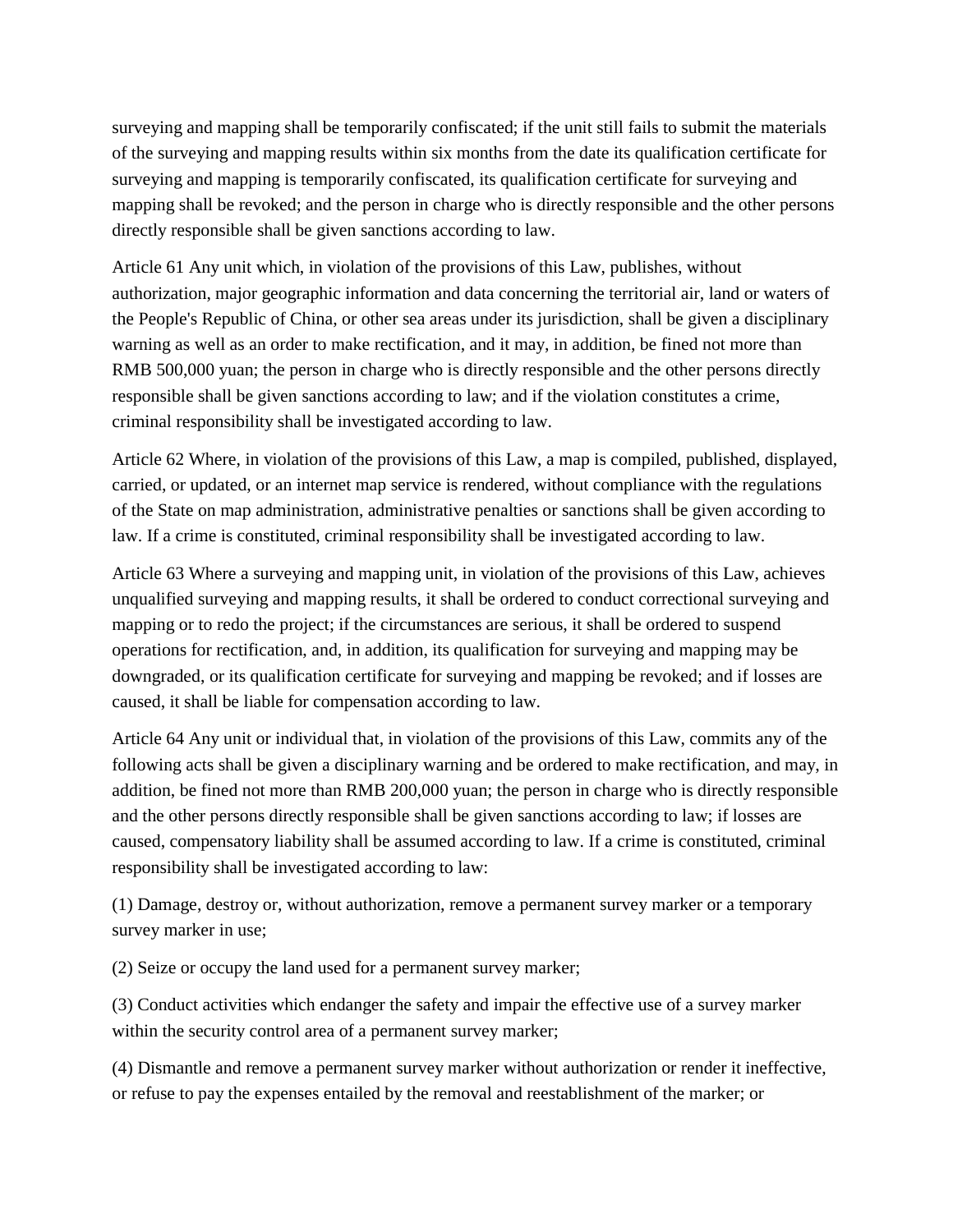surveying and mapping shall be temporarily confiscated; if the unit still fails to submit the materials of the surveying and mapping results within six months from the date its qualification certificate for surveying and mapping is temporarily confiscated, its qualification certificate for surveying and mapping shall be revoked; and the person in charge who is directly responsible and the other persons directly responsible shall be given sanctions according to law.

Article 61 Any unit which, in violation of the provisions of this Law, publishes, without authorization, major geographic information and data concerning the territorial air, land or waters of the People's Republic of China, or other sea areas under its jurisdiction, shall be given a disciplinary warning as well as an order to make rectification, and it may, in addition, be fined not more than RMB 500,000 yuan; the person in charge who is directly responsible and the other persons directly responsible shall be given sanctions according to law; and if the violation constitutes a crime, criminal responsibility shall be investigated according to law.

Article 62 Where, in violation of the provisions of this Law, a map is compiled, published, displayed, carried, or updated, or an internet map service is rendered, without compliance with the regulations of the State on map administration, administrative penalties or sanctions shall be given according to law. If a crime is constituted, criminal responsibility shall be investigated according to law.

Article 63 Where a surveying and mapping unit, in violation of the provisions of this Law, achieves unqualified surveying and mapping results, it shall be ordered to conduct correctional surveying and mapping or to redo the project; if the circumstances are serious, it shall be ordered to suspend operations for rectification, and, in addition, its qualification for surveying and mapping may be downgraded, or its qualification certificate for surveying and mapping be revoked; and if losses are caused, it shall be liable for compensation according to law.

Article 64 Any unit or individual that, in violation of the provisions of this Law, commits any of the following acts shall be given a disciplinary warning and be ordered to make rectification, and may, in addition, be fined not more than RMB 200,000 yuan; the person in charge who is directly responsible and the other persons directly responsible shall be given sanctions according to law; if losses are caused, compensatory liability shall be assumed according to law. If a crime is constituted, criminal responsibility shall be investigated according to law:

(1) Damage, destroy or, without authorization, remove a permanent survey marker or a temporary survey marker in use;

(2) Seize or occupy the land used for a permanent survey marker;

(3) Conduct activities which endanger the safety and impair the effective use of a survey marker within the security control area of a permanent survey marker;

(4) Dismantle and remove a permanent survey marker without authorization or render it ineffective, or refuse to pay the expenses entailed by the removal and reestablishment of the marker; or